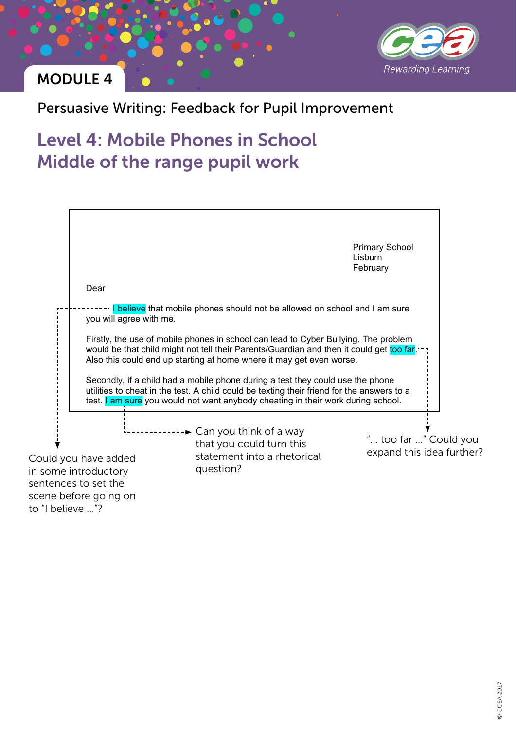

## MODULE 4

### Persuasive Writing: Feedback for Pupil Improvement

# Level 4: Mobile Phones in School Middle of the range pupil work